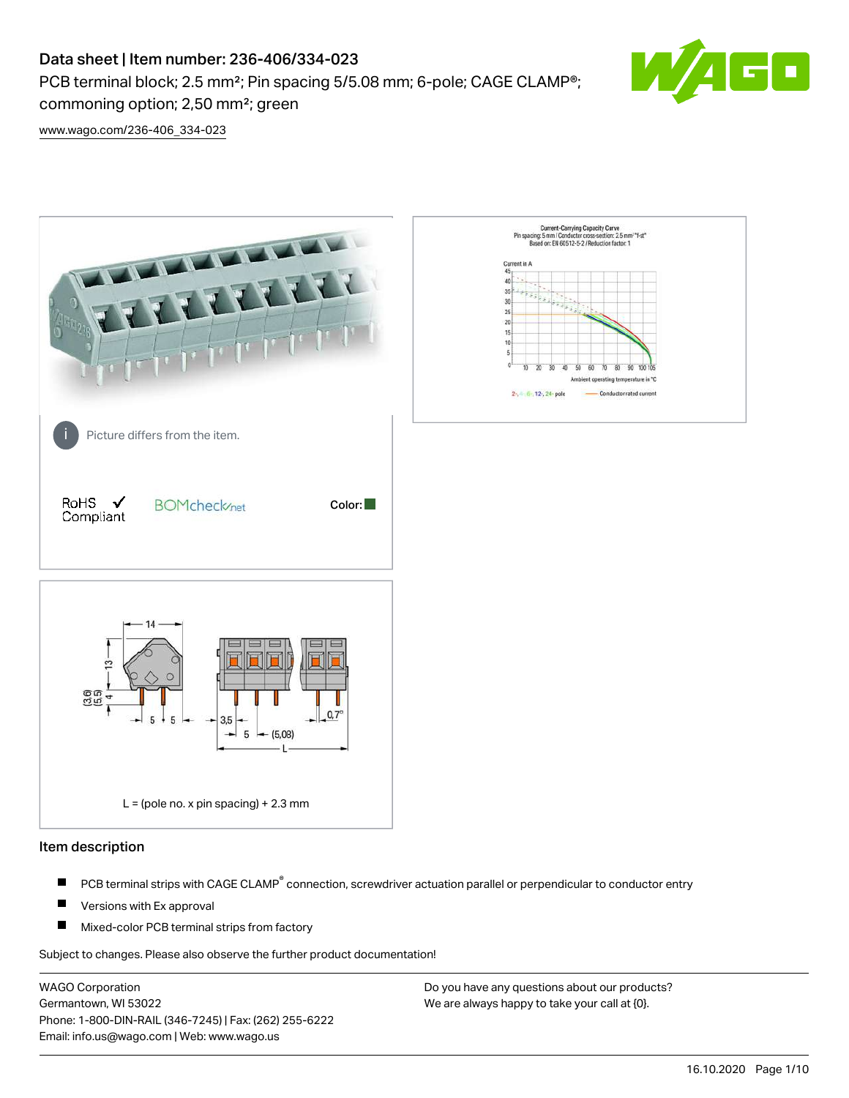PCB terminal block; 2.5 mm<sup>2</sup>; Pin spacing 5/5.08 mm; 6-pole; CAGE CLAMP<sup>®</sup>; commoning option; 2,50 mm²; green



[www.wago.com/236-406\\_334-023](http://www.wago.com/236-406_334-023)



#### Item description

- PCB terminal strips with CAGE CLAMP<sup>®</sup> connection, screwdriver actuation parallel or perpendicular to conductor entry П
- П Versions with Ex approval
- П Mixed-color PCB terminal strips from factory

Subject to changes. Please also observe the further product documentation!

WAGO Corporation Germantown, WI 53022 Phone: 1-800-DIN-RAIL (346-7245) | Fax: (262) 255-6222 Email: info.us@wago.com | Web: www.wago.us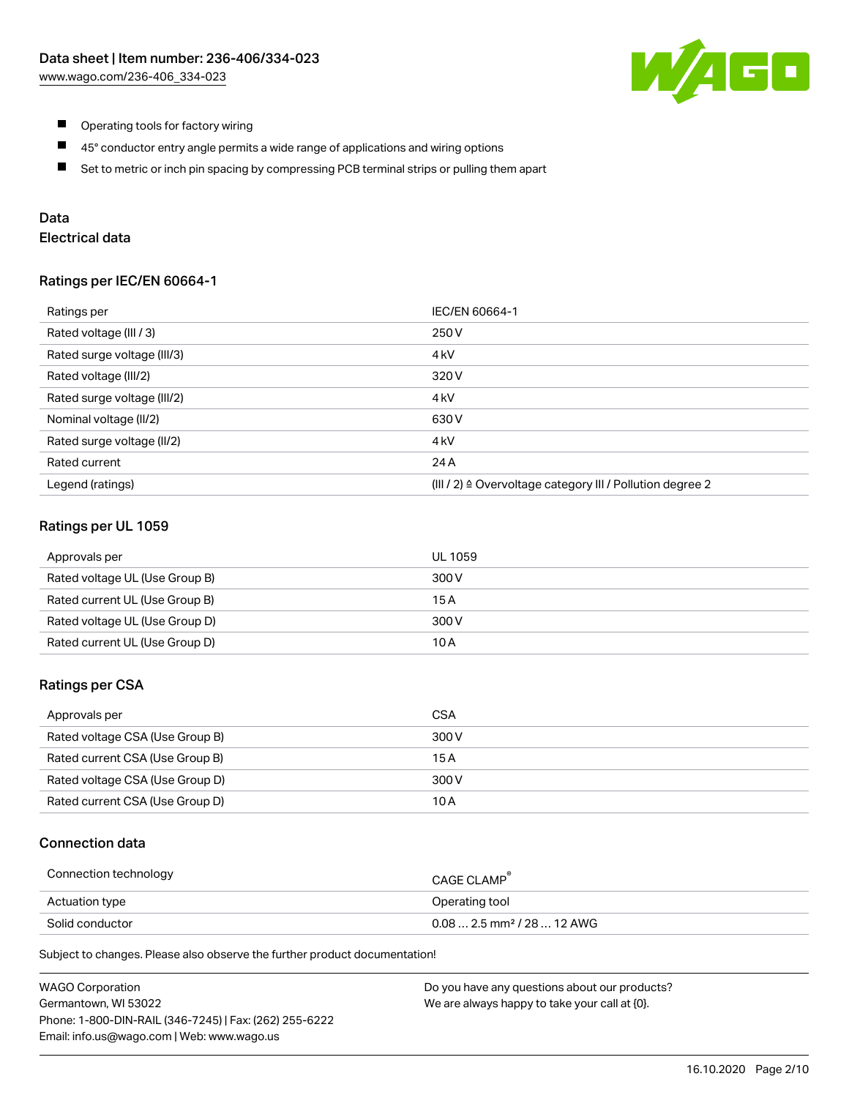

- $\blacksquare$ Operating tools for factory wiring
- $\blacksquare$ 45° conductor entry angle permits a wide range of applications and wiring options
- $\blacksquare$ Set to metric or inch pin spacing by compressing PCB terminal strips or pulling them apart

# Data

# Electrical data

### Ratings per IEC/EN 60664-1

| Ratings per                 | IEC/EN 60664-1                                                        |
|-----------------------------|-----------------------------------------------------------------------|
| Rated voltage (III / 3)     | 250 V                                                                 |
| Rated surge voltage (III/3) | 4 <sub>k</sub> V                                                      |
| Rated voltage (III/2)       | 320 V                                                                 |
| Rated surge voltage (III/2) | 4 <sub>k</sub> V                                                      |
| Nominal voltage (II/2)      | 630 V                                                                 |
| Rated surge voltage (II/2)  | 4 <sub>k</sub> V                                                      |
| Rated current               | 24 A                                                                  |
| Legend (ratings)            | $(III / 2)$ $\triangle$ Overvoltage category III / Pollution degree 2 |

### Ratings per UL 1059

| Approvals per                  | UL 1059 |
|--------------------------------|---------|
| Rated voltage UL (Use Group B) | 300 V   |
| Rated current UL (Use Group B) | 15 A    |
| Rated voltage UL (Use Group D) | 300 V   |
| Rated current UL (Use Group D) | 10 A    |

#### Ratings per CSA

| Approvals per                   | CSA   |
|---------------------------------|-------|
| Rated voltage CSA (Use Group B) | 300 V |
| Rated current CSA (Use Group B) | 15 A  |
| Rated voltage CSA (Use Group D) | 300 V |
| Rated current CSA (Use Group D) | 10 A  |

#### Connection data

| Connection technology | CAGE CLAMP <sup>®</sup>                 |
|-----------------------|-----------------------------------------|
| Actuation type        | Operating tool                          |
| Solid conductor       | $0.08$ 2.5 mm <sup>2</sup> / 28  12 AWG |

Subject to changes. Please also observe the further product documentation!

| <b>WAGO Corporation</b>                                | Do you have any questions about our products? |
|--------------------------------------------------------|-----------------------------------------------|
| Germantown, WI 53022                                   | We are always happy to take your call at {0}. |
| Phone: 1-800-DIN-RAIL (346-7245)   Fax: (262) 255-6222 |                                               |
| Email: info.us@wago.com   Web: www.wago.us             |                                               |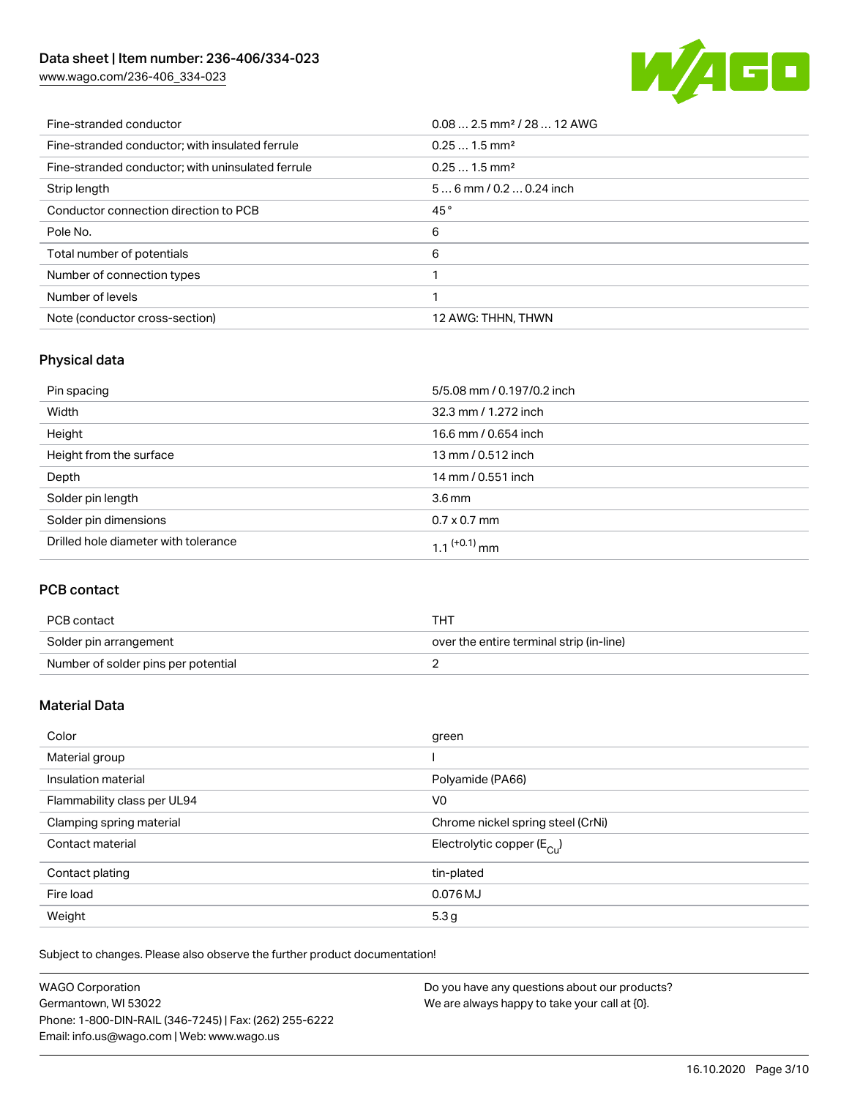[www.wago.com/236-406\\_334-023](http://www.wago.com/236-406_334-023)



| Fine-stranded conductor                           | $0.08$ 2.5 mm <sup>2</sup> / 28  12 AWG |
|---------------------------------------------------|-----------------------------------------|
| Fine-stranded conductor; with insulated ferrule   | $0.251.5$ mm <sup>2</sup>               |
| Fine-stranded conductor; with uninsulated ferrule | $0.251.5$ mm <sup>2</sup>               |
| Strip length                                      | $56$ mm / 0.2  0.24 inch                |
| Conductor connection direction to PCB             | 45°                                     |
| Pole No.                                          | 6                                       |
| Total number of potentials                        | 6                                       |
| Number of connection types                        |                                         |
| Number of levels                                  |                                         |
| Note (conductor cross-section)                    | 12 AWG: THHN, THWN                      |

# Physical data

| Pin spacing                          | 5/5.08 mm / 0.197/0.2 inch |
|--------------------------------------|----------------------------|
| Width                                | 32.3 mm / 1.272 inch       |
| Height                               | 16.6 mm / 0.654 inch       |
| Height from the surface              | 13 mm / 0.512 inch         |
| Depth                                | 14 mm / 0.551 inch         |
| Solder pin length                    | $3.6 \,\mathrm{mm}$        |
| Solder pin dimensions                | $0.7 \times 0.7$ mm        |
| Drilled hole diameter with tolerance | $1.1$ <sup>(+0.1)</sup> mm |

# PCB contact

| PCB contact                         | THT                                      |
|-------------------------------------|------------------------------------------|
| Solder pin arrangement              | over the entire terminal strip (in-line) |
| Number of solder pins per potential |                                          |

# Material Data

| Color                       | green                                 |
|-----------------------------|---------------------------------------|
| Material group              |                                       |
| Insulation material         | Polyamide (PA66)                      |
| Flammability class per UL94 | V <sub>0</sub>                        |
| Clamping spring material    | Chrome nickel spring steel (CrNi)     |
| Contact material            | Electrolytic copper $(E_{\text{CL}})$ |
| Contact plating             | tin-plated                            |
| Fire load                   | 0.076 MJ                              |
| Weight                      | 5.3 <sub>g</sub>                      |

Subject to changes. Please also observe the further product documentation!

| <b>WAGO Corporation</b>                                | Do you have any questions about our products? |
|--------------------------------------------------------|-----------------------------------------------|
| Germantown, WI 53022                                   | We are always happy to take your call at {0}. |
| Phone: 1-800-DIN-RAIL (346-7245)   Fax: (262) 255-6222 |                                               |
| Email: info.us@wago.com   Web: www.wago.us             |                                               |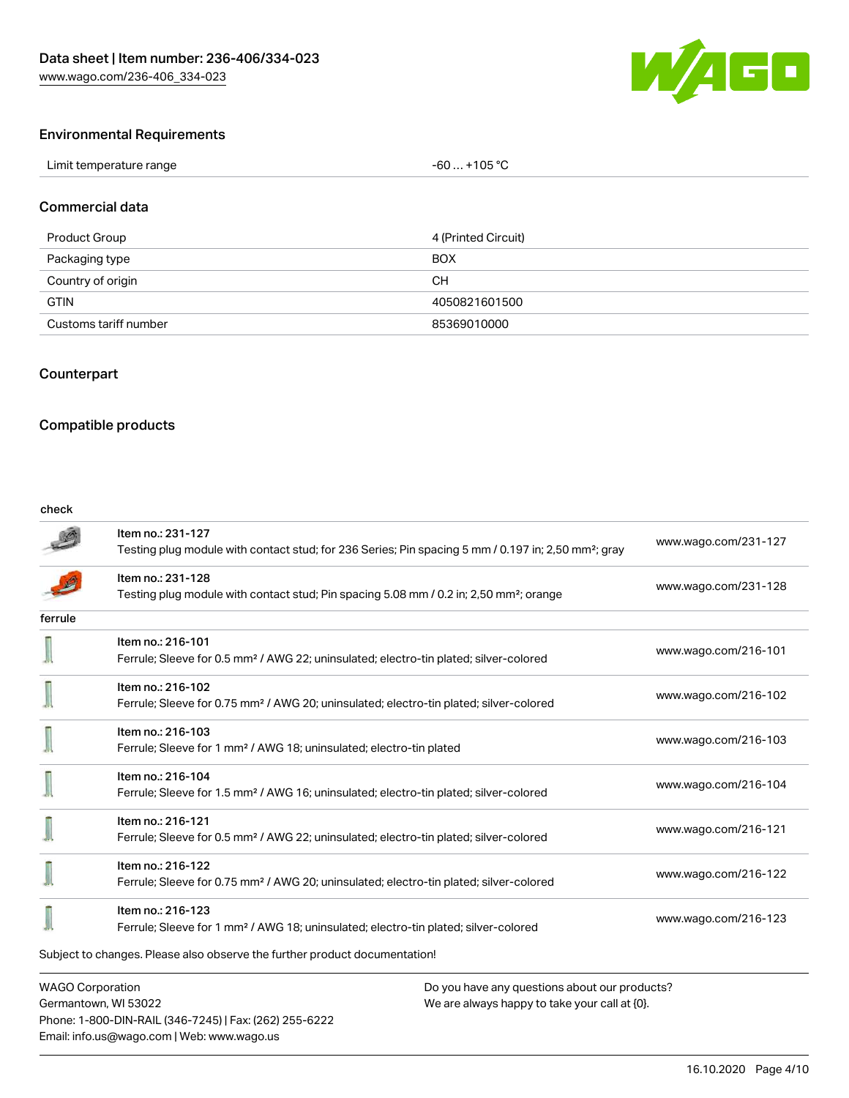

### Environmental Requirements

| Limit temperature range<br>. | . +105 °C<br>-60 |
|------------------------------|------------------|
|------------------------------|------------------|

### Commercial data

| Product Group         | 4 (Printed Circuit) |
|-----------------------|---------------------|
| Packaging type        | <b>BOX</b>          |
| Country of origin     | CН                  |
| <b>GTIN</b>           | 4050821601500       |
| Customs tariff number | 85369010000         |

### Counterpart

### Compatible products

Phone: 1-800-DIN-RAIL (346-7245) | Fax: (262) 255-6222

Email: info.us@wago.com | Web: www.wago.us

#### check

|                                                                          | Item no.: 231-127<br>Testing plug module with contact stud; for 236 Series; Pin spacing 5 mm / 0.197 in; 2,50 mm <sup>2</sup> ; gray | www.wago.com/231-127                          |  |  |
|--------------------------------------------------------------------------|--------------------------------------------------------------------------------------------------------------------------------------|-----------------------------------------------|--|--|
|                                                                          | Item no.: 231-128<br>Testing plug module with contact stud; Pin spacing 5.08 mm / 0.2 in; 2,50 mm <sup>2</sup> ; orange              | www.wago.com/231-128                          |  |  |
| ferrule                                                                  |                                                                                                                                      |                                               |  |  |
|                                                                          | Item no.: 216-101<br>Ferrule; Sleeve for 0.5 mm <sup>2</sup> / AWG 22; uninsulated; electro-tin plated; silver-colored               | www.wago.com/216-101                          |  |  |
|                                                                          | Item no.: 216-102<br>Ferrule; Sleeve for 0.75 mm <sup>2</sup> / AWG 20; uninsulated; electro-tin plated; silver-colored              | www.wago.com/216-102                          |  |  |
|                                                                          | Item no.: 216-103<br>Ferrule; Sleeve for 1 mm <sup>2</sup> / AWG 18; uninsulated; electro-tin plated                                 | www.wago.com/216-103                          |  |  |
|                                                                          | Item no.: 216-104<br>Ferrule; Sleeve for 1.5 mm <sup>2</sup> / AWG 16; uninsulated; electro-tin plated; silver-colored               | www.wago.com/216-104                          |  |  |
|                                                                          | Item no.: 216-121<br>Ferrule; Sleeve for 0.5 mm <sup>2</sup> / AWG 22; uninsulated; electro-tin plated; silver-colored               | www.wago.com/216-121                          |  |  |
|                                                                          | Item no.: 216-122<br>Ferrule; Sleeve for 0.75 mm <sup>2</sup> / AWG 20; uninsulated; electro-tin plated; silver-colored              | www.wago.com/216-122                          |  |  |
|                                                                          | Item no.: 216-123<br>Ferrule; Sleeve for 1 mm <sup>2</sup> / AWG 18; uninsulated; electro-tin plated; silver-colored                 | www.wago.com/216-123                          |  |  |
|                                                                          | Subject to changes. Please also observe the further product documentation!                                                           |                                               |  |  |
| <b>WAGO Corporation</b><br>Do you have any questions about our products? |                                                                                                                                      |                                               |  |  |
|                                                                          | Germantown, WI 53022                                                                                                                 | We are always happy to take your call at {0}. |  |  |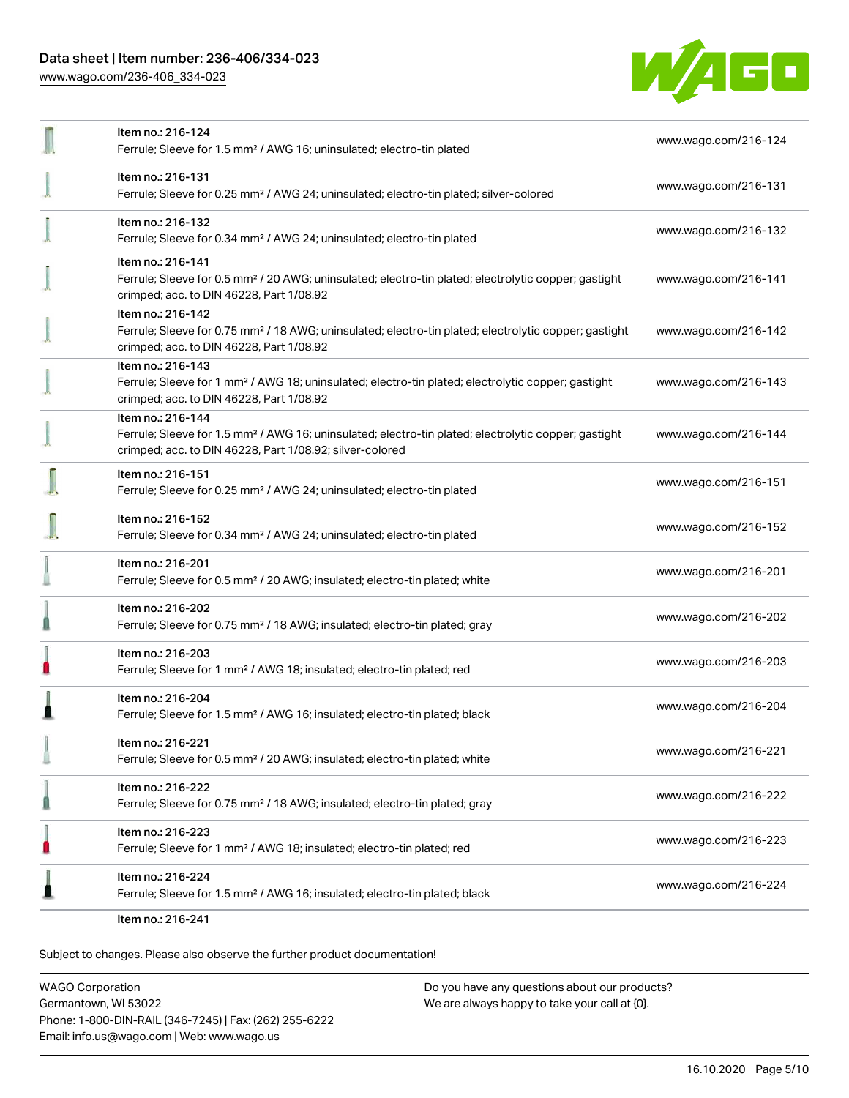[www.wago.com/236-406\\_334-023](http://www.wago.com/236-406_334-023)



|   | Item no.: 216-124<br>Ferrule; Sleeve for 1.5 mm <sup>2</sup> / AWG 16; uninsulated; electro-tin plated                                                                                            | www.wago.com/216-124 |
|---|---------------------------------------------------------------------------------------------------------------------------------------------------------------------------------------------------|----------------------|
|   | Item no.: 216-131<br>Ferrule; Sleeve for 0.25 mm <sup>2</sup> / AWG 24; uninsulated; electro-tin plated; silver-colored                                                                           | www.wago.com/216-131 |
|   | Item no.: 216-132<br>Ferrule; Sleeve for 0.34 mm <sup>2</sup> / AWG 24; uninsulated; electro-tin plated                                                                                           | www.wago.com/216-132 |
|   | Item no.: 216-141<br>Ferrule; Sleeve for 0.5 mm <sup>2</sup> / 20 AWG; uninsulated; electro-tin plated; electrolytic copper; gastight<br>crimped; acc. to DIN 46228, Part 1/08.92                 | www.wago.com/216-141 |
|   | Item no.: 216-142<br>Ferrule; Sleeve for 0.75 mm <sup>2</sup> / 18 AWG; uninsulated; electro-tin plated; electrolytic copper; gastight<br>crimped; acc. to DIN 46228, Part 1/08.92                | www.wago.com/216-142 |
|   | Item no.: 216-143<br>Ferrule; Sleeve for 1 mm <sup>2</sup> / AWG 18; uninsulated; electro-tin plated; electrolytic copper; gastight<br>crimped; acc. to DIN 46228, Part 1/08.92                   | www.wago.com/216-143 |
|   | Item no.: 216-144<br>Ferrule; Sleeve for 1.5 mm <sup>2</sup> / AWG 16; uninsulated; electro-tin plated; electrolytic copper; gastight<br>crimped; acc. to DIN 46228, Part 1/08.92; silver-colored | www.wago.com/216-144 |
|   | Item no.: 216-151<br>Ferrule; Sleeve for 0.25 mm <sup>2</sup> / AWG 24; uninsulated; electro-tin plated                                                                                           | www.wago.com/216-151 |
|   | Item no.: 216-152<br>Ferrule; Sleeve for 0.34 mm <sup>2</sup> / AWG 24; uninsulated; electro-tin plated                                                                                           | www.wago.com/216-152 |
|   | Item no.: 216-201<br>Ferrule; Sleeve for 0.5 mm <sup>2</sup> / 20 AWG; insulated; electro-tin plated; white                                                                                       | www.wago.com/216-201 |
|   | Item no.: 216-202<br>Ferrule; Sleeve for 0.75 mm <sup>2</sup> / 18 AWG; insulated; electro-tin plated; gray                                                                                       | www.wago.com/216-202 |
| n | Item no.: 216-203<br>Ferrule; Sleeve for 1 mm <sup>2</sup> / AWG 18; insulated; electro-tin plated; red                                                                                           | www.wago.com/216-203 |
|   | Item no.: 216-204<br>Ferrule; Sleeve for 1.5 mm <sup>2</sup> / AWG 16; insulated; electro-tin plated; black                                                                                       | www.wago.com/216-204 |
|   | ltem no.: 216-221<br>Ferrule; Sleeve for 0.5 mm <sup>2</sup> / 20 AWG; insulated; electro-tin plated; white                                                                                       | www.wago.com/216-221 |
|   | Item no.: 216-222<br>Ferrule; Sleeve for 0.75 mm <sup>2</sup> / 18 AWG; insulated; electro-tin plated; gray                                                                                       | www.wago.com/216-222 |
|   | Item no.: 216-223<br>Ferrule; Sleeve for 1 mm <sup>2</sup> / AWG 18; insulated; electro-tin plated; red                                                                                           | www.wago.com/216-223 |
|   | Item no.: 216-224<br>Ferrule; Sleeve for 1.5 mm <sup>2</sup> / AWG 16; insulated; electro-tin plated; black                                                                                       | www.wago.com/216-224 |
|   | Item no.: 216-241                                                                                                                                                                                 |                      |

Subject to changes. Please also observe the further product documentation!

WAGO Corporation Germantown, WI 53022 Phone: 1-800-DIN-RAIL (346-7245) | Fax: (262) 255-6222 Email: info.us@wago.com | Web: www.wago.us Do you have any questions about our products? We are always happy to take your call at {0}.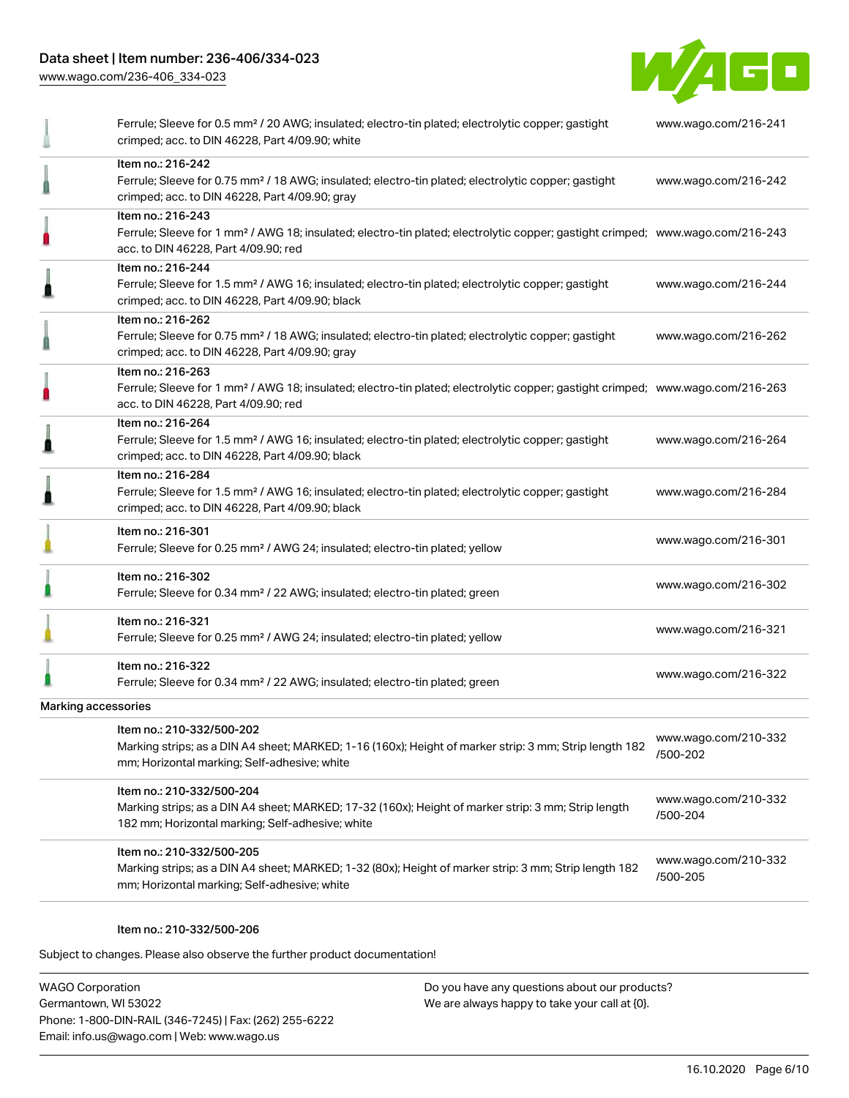[www.wago.com/236-406\\_334-023](http://www.wago.com/236-406_334-023)



|                     | Ferrule; Sleeve for 0.5 mm <sup>2</sup> / 20 AWG; insulated; electro-tin plated; electrolytic copper; gastight<br>crimped; acc. to DIN 46228, Part 4/09.90; white                                       | www.wago.com/216-241             |
|---------------------|---------------------------------------------------------------------------------------------------------------------------------------------------------------------------------------------------------|----------------------------------|
|                     | Item no.: 216-242<br>Ferrule; Sleeve for 0.75 mm <sup>2</sup> / 18 AWG; insulated; electro-tin plated; electrolytic copper; gastight<br>crimped; acc. to DIN 46228, Part 4/09.90; gray                  | www.wago.com/216-242             |
|                     | Item no.: 216-243<br>Ferrule; Sleeve for 1 mm <sup>2</sup> / AWG 18; insulated; electro-tin plated; electrolytic copper; gastight crimped; www.wago.com/216-243<br>acc. to DIN 46228, Part 4/09.90; red |                                  |
|                     | Item no.: 216-244<br>Ferrule; Sleeve for 1.5 mm <sup>2</sup> / AWG 16; insulated; electro-tin plated; electrolytic copper; gastight<br>crimped; acc. to DIN 46228, Part 4/09.90; black                  | www.wago.com/216-244             |
|                     | Item no.: 216-262<br>Ferrule; Sleeve for 0.75 mm <sup>2</sup> / 18 AWG; insulated; electro-tin plated; electrolytic copper; gastight<br>crimped; acc. to DIN 46228, Part 4/09.90; gray                  | www.wago.com/216-262             |
|                     | Item no.: 216-263<br>Ferrule; Sleeve for 1 mm <sup>2</sup> / AWG 18; insulated; electro-tin plated; electrolytic copper; gastight crimped; www.wago.com/216-263<br>acc. to DIN 46228, Part 4/09.90; red |                                  |
|                     | Item no.: 216-264<br>Ferrule; Sleeve for 1.5 mm <sup>2</sup> / AWG 16; insulated; electro-tin plated; electrolytic copper; gastight<br>crimped; acc. to DIN 46228, Part 4/09.90; black                  | www.wago.com/216-264             |
|                     | Item no.: 216-284<br>Ferrule; Sleeve for 1.5 mm <sup>2</sup> / AWG 16; insulated; electro-tin plated; electrolytic copper; gastight<br>crimped; acc. to DIN 46228, Part 4/09.90; black                  | www.wago.com/216-284             |
|                     | Item no.: 216-301<br>Ferrule; Sleeve for 0.25 mm <sup>2</sup> / AWG 24; insulated; electro-tin plated; yellow                                                                                           | www.wago.com/216-301             |
|                     | Item no.: 216-302<br>Ferrule; Sleeve for 0.34 mm <sup>2</sup> / 22 AWG; insulated; electro-tin plated; green                                                                                            | www.wago.com/216-302             |
|                     | Item no.: 216-321<br>Ferrule; Sleeve for 0.25 mm <sup>2</sup> / AWG 24; insulated; electro-tin plated; yellow                                                                                           | www.wago.com/216-321             |
|                     | Item no.: 216-322<br>Ferrule; Sleeve for 0.34 mm <sup>2</sup> / 22 AWG; insulated; electro-tin plated; green                                                                                            | www.wago.com/216-322             |
| Marking accessories |                                                                                                                                                                                                         |                                  |
|                     | Item no.: 210-332/500-202<br>Marking strips; as a DIN A4 sheet; MARKED; 1-16 (160x); Height of marker strip: 3 mm; Strip length 182<br>mm; Horizontal marking; Self-adhesive; white                     | www.wago.com/210-332<br>/500-202 |
|                     | Item no.: 210-332/500-204<br>Marking strips; as a DIN A4 sheet; MARKED; 17-32 (160x); Height of marker strip: 3 mm; Strip length<br>182 mm; Horizontal marking; Self-adhesive; white                    | www.wago.com/210-332<br>/500-204 |
|                     | Item no.: 210-332/500-205<br>Marking strips; as a DIN A4 sheet; MARKED; 1-32 (80x); Height of marker strip: 3 mm; Strip length 182<br>mm; Horizontal marking; Self-adhesive; white                      | www.wago.com/210-332<br>/500-205 |

#### Item no.: 210-332/500-206

Subject to changes. Please also observe the further product documentation!

WAGO Corporation Germantown, WI 53022 Phone: 1-800-DIN-RAIL (346-7245) | Fax: (262) 255-6222 Email: info.us@wago.com | Web: www.wago.us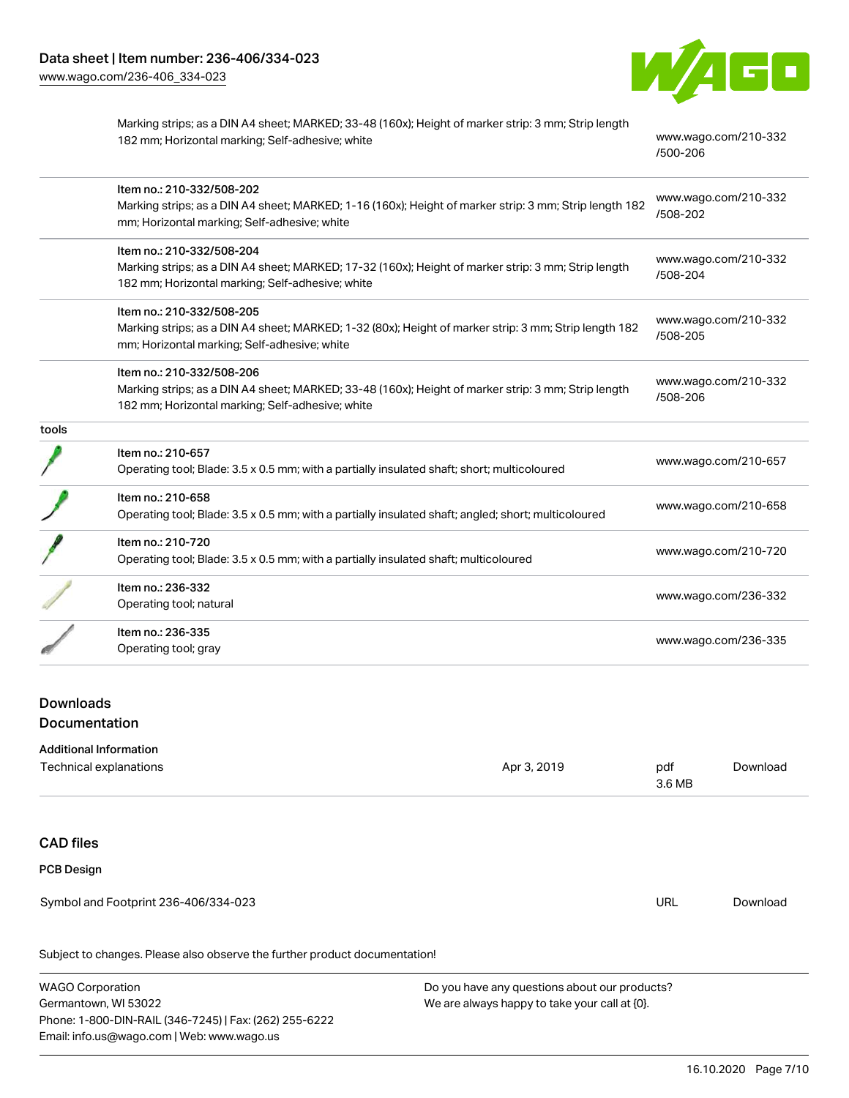

Marking strips; as a DIN A4 sheet; MARKED; 33-48 (160x); Height of marker strip: 3 mm; Strip length 182 mm; Horizontal marking; Self-adhesive; white [www.wago.com/210-332](http://www.wago.com/210-332/500-206)

[/500-206](http://www.wago.com/210-332/500-206)

|       | Item no.: 210-332/508-202<br>Marking strips; as a DIN A4 sheet; MARKED; 1-16 (160x); Height of marker strip: 3 mm; Strip length 182<br>mm; Horizontal marking; Self-adhesive; white  | www.wago.com/210-332<br>/508-202 |
|-------|--------------------------------------------------------------------------------------------------------------------------------------------------------------------------------------|----------------------------------|
|       | Item no.: 210-332/508-204<br>Marking strips; as a DIN A4 sheet; MARKED; 17-32 (160x); Height of marker strip: 3 mm; Strip length<br>182 mm; Horizontal marking; Self-adhesive; white | www.wago.com/210-332<br>/508-204 |
|       | Item no.: 210-332/508-205<br>Marking strips; as a DIN A4 sheet; MARKED; 1-32 (80x); Height of marker strip: 3 mm; Strip length 182<br>mm; Horizontal marking; Self-adhesive; white   | www.wago.com/210-332<br>/508-205 |
|       | Item no.: 210-332/508-206<br>Marking strips; as a DIN A4 sheet; MARKED; 33-48 (160x); Height of marker strip: 3 mm; Strip length<br>182 mm; Horizontal marking; Self-adhesive; white | www.wago.com/210-332<br>/508-206 |
| tools |                                                                                                                                                                                      |                                  |
|       | Item no.: 210-657<br>Operating tool; Blade: 3.5 x 0.5 mm; with a partially insulated shaft; short; multicoloured                                                                     | www.wago.com/210-657             |
|       | Item no.: 210-658<br>Operating tool; Blade: 3.5 x 0.5 mm; with a partially insulated shaft; angled; short; multicoloured                                                             | www.wago.com/210-658             |
|       | Item no.: 210-720<br>Operating tool; Blade: 3.5 x 0.5 mm; with a partially insulated shaft; multicoloured                                                                            | www.wago.com/210-720             |
|       | Item no.: 236-332<br>Operating tool; natural                                                                                                                                         | www.wago.com/236-332             |
|       | Item no.: 236-335<br>Operating tool; gray                                                                                                                                            | www.wago.com/236-335             |

## Downloads **Documentation**

#### Additional Information

| Technical explanations                                                     | Apr 3, 2019 | pdf<br>3.6 MB | Download |
|----------------------------------------------------------------------------|-------------|---------------|----------|
| <b>CAD files</b>                                                           |             |               |          |
| <b>PCB Design</b>                                                          |             |               |          |
| Symbol and Footprint 236-406/334-023                                       |             | <b>URL</b>    | Download |
| Subject to changes. Please also observe the further product documentation! |             |               |          |

WAGO Corporation Germantown, WI 53022 Phone: 1-800-DIN-RAIL (346-7245) | Fax: (262) 255-6222 Email: info.us@wago.com | Web: www.wago.us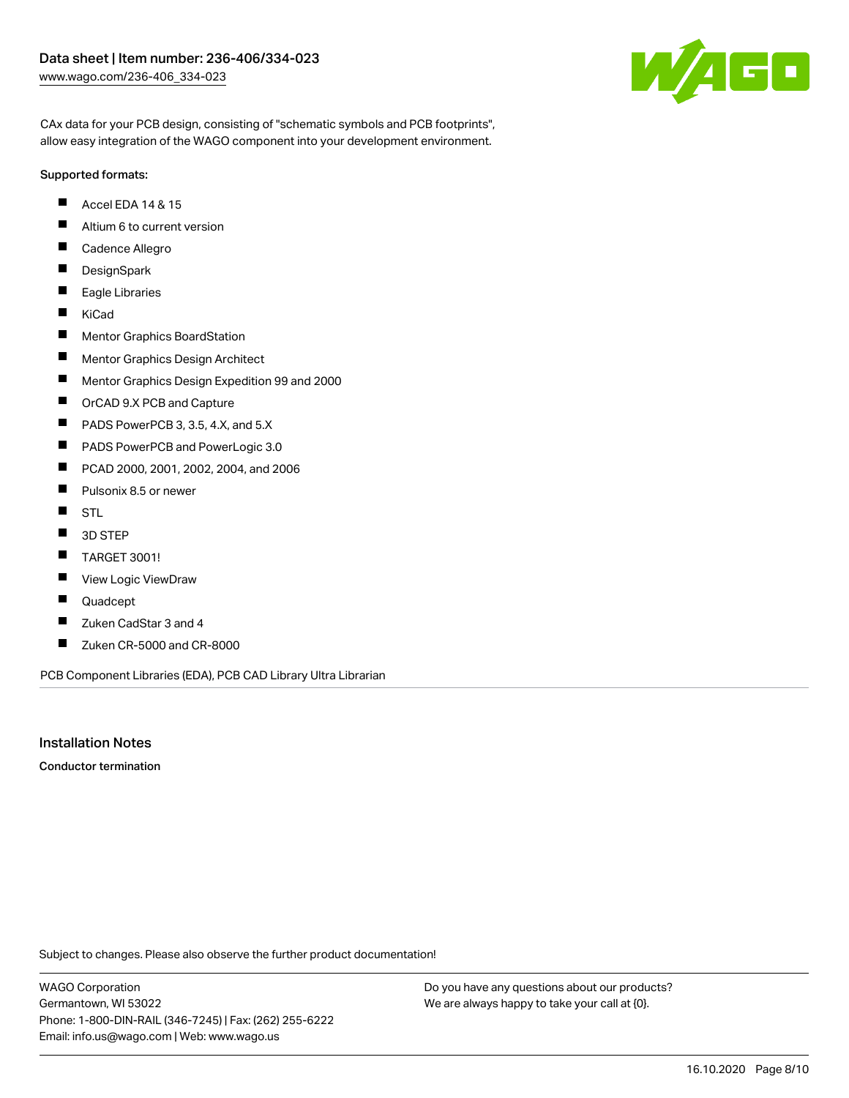

CAx data for your PCB design, consisting of "schematic symbols and PCB footprints", allow easy integration of the WAGO component into your development environment.

#### Supported formats:

- $\blacksquare$ Accel EDA 14 & 15
- $\blacksquare$ Altium 6 to current version
- $\blacksquare$ Cadence Allegro
- $\blacksquare$ **DesignSpark**
- $\blacksquare$ Eagle Libraries
- $\blacksquare$ KiCad
- $\blacksquare$ Mentor Graphics BoardStation
- $\blacksquare$ Mentor Graphics Design Architect
- $\blacksquare$ Mentor Graphics Design Expedition 99 and 2000
- П OrCAD 9.X PCB and Capture
- $\blacksquare$ PADS PowerPCB 3, 3.5, 4.X, and 5.X
- $\blacksquare$ PADS PowerPCB and PowerLogic 3.0
- $\blacksquare$ PCAD 2000, 2001, 2002, 2004, and 2006
- $\blacksquare$ Pulsonix 8.5 or newer
- $\blacksquare$ STL
- $\blacksquare$ 3D STEP
- $\blacksquare$ TARGET 3001!
- $\blacksquare$ View Logic ViewDraw
- П Quadcept
- П Zuken CadStar 3 and 4
- $\blacksquare$ Zuken CR-5000 and CR-8000

PCB Component Libraries (EDA), PCB CAD Library Ultra Librarian

#### Installation Notes

Conductor termination

Subject to changes. Please also observe the further product documentation!

WAGO Corporation Germantown, WI 53022 Phone: 1-800-DIN-RAIL (346-7245) | Fax: (262) 255-6222 Email: info.us@wago.com | Web: www.wago.us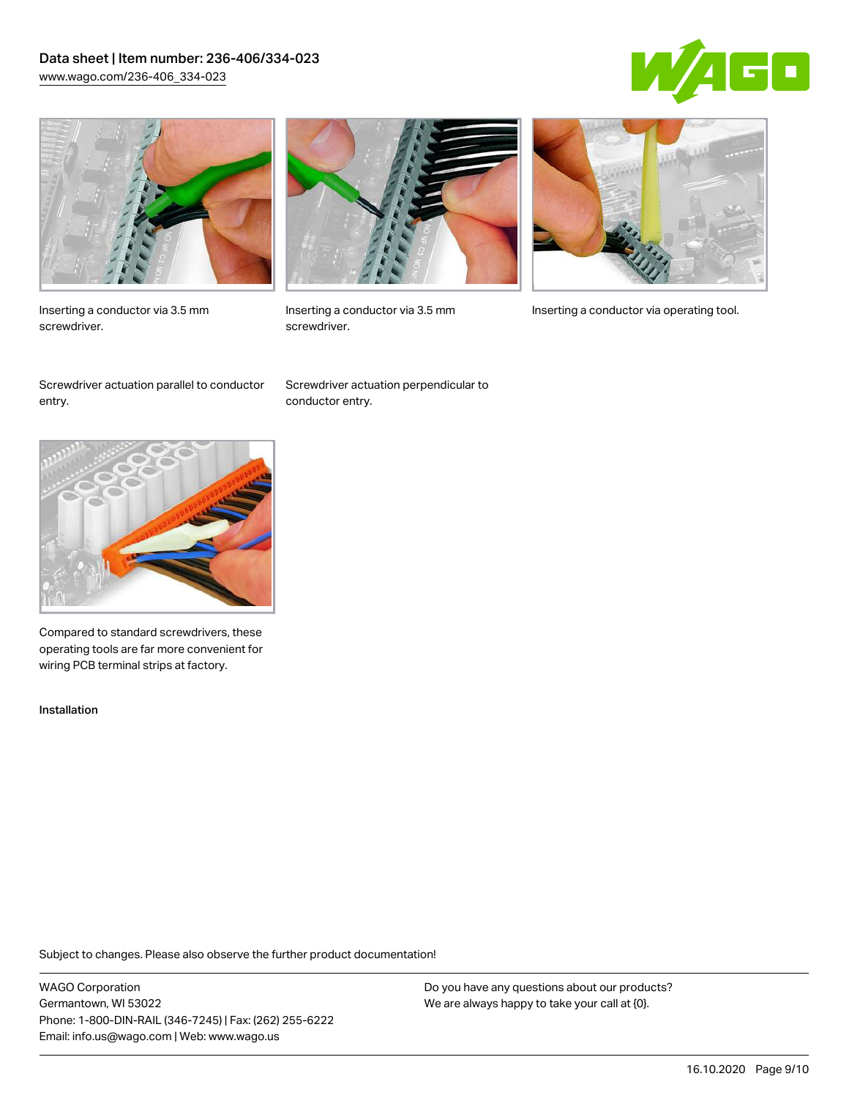### Data sheet | Item number: 236-406/334-023 [www.wago.com/236-406\\_334-023](http://www.wago.com/236-406_334-023)





Inserting a conductor via 3.5 mm screwdriver.



screwdriver.

Inserting a conductor via 3.5 mm Inserting a conductor via operating tool.

Screwdriver actuation parallel to conductor entry.

Screwdriver actuation perpendicular to conductor entry.



Compared to standard screwdrivers, these operating tools are far more convenient for wiring PCB terminal strips at factory.

Installation

Subject to changes. Please also observe the further product documentation!

WAGO Corporation Germantown, WI 53022 Phone: 1-800-DIN-RAIL (346-7245) | Fax: (262) 255-6222 Email: info.us@wago.com | Web: www.wago.us